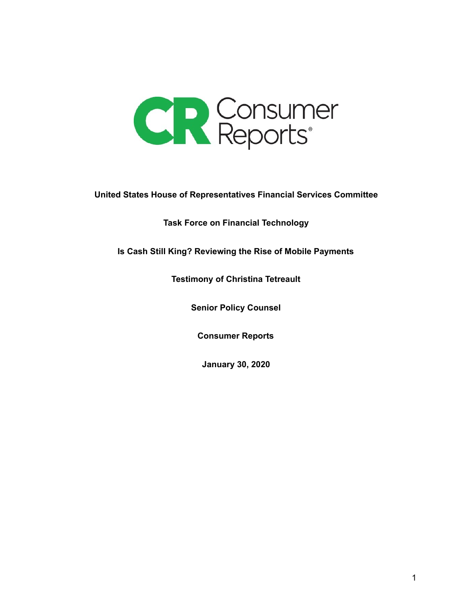

**United States House of Representatives Financial Services Committee**

**Task Force on Financial Technology**

**Is Cash Still King? Reviewing the Rise of Mobile Payments**

**Testimony of Christina Tetreault**

**Senior Policy Counsel**

**Consumer Reports**

**January 30, 2020**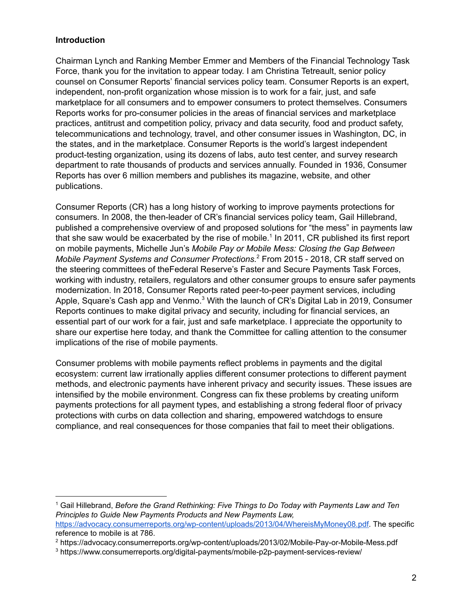# **Introduction**

Chairman Lynch and Ranking Member Emmer and Members of the Financial Technology Task Force, thank you for the invitation to appear today. I am Christina Tetreault, senior policy counsel on Consumer Reports' financial services policy team. Consumer Reports is an expert, independent, non-profit organization whose mission is to work for a fair, just, and safe marketplace for all consumers and to empower consumers to protect themselves. Consumers Reports works for pro-consumer policies in the areas of financial services and marketplace practices, antitrust and competition policy, privacy and data security, food and product safety, telecommunications and technology, travel, and other consumer issues in Washington, DC, in the states, and in the marketplace. Consumer Reports is the world's largest independent product-testing organization, using its dozens of labs, auto test center, and survey research department to rate thousands of products and services annually. Founded in 1936, Consumer Reports has over 6 million members and publishes its magazine, website, and other publications.

Consumer Reports (CR) has a long history of working to improve payments protections for consumers. In 2008, the then-leader of CR's financial services policy team, Gail Hillebrand, published a comprehensive overview of and proposed solutions for "the mess" in payments law that she saw would be exacerbated by the rise of mobile. $^{\rm 1}$  In 2011, CR published its first report on mobile payments, Michelle Jun's *Mobile Pay or Mobile Mess: Closing the Gap Between Mobile Payment Systems and Consumer Protections.* From 2015 - 2018, CR staff served on 2 the steering committees of theFederal Reserve's Faster and Secure Payments Task Forces, working with industry, retailers, regulators and other consumer groups to ensure safer payments modernization. In 2018, Consumer Reports rated peer-to-peer payment services, including Apple, Square's Cash app and Venmo. $^3$  With the launch of CR's Digital Lab in 2019, Consumer Reports continues to make digital privacy and security, including for financial services, an essential part of our work for a fair, just and safe marketplace. I appreciate the opportunity to share our expertise here today, and thank the Committee for calling attention to the consumer implications of the rise of mobile payments.

Consumer problems with mobile payments reflect problems in payments and the digital ecosystem: current law irrationally applies different consumer protections to different payment methods, and electronic payments have inherent privacy and security issues. These issues are intensified by the mobile environment. Congress can fix these problems by creating uniform payments protections for all payment types, and establishing a strong federal floor of privacy protections with curbs on data collection and sharing, empowered watchdogs to ensure compliance, and real consequences for those companies that fail to meet their obligations.

<sup>1</sup> Gail Hillebrand, *Before the Grand Rethinking: Five Things to Do Today with Payments Law and Ten Principles to Guide New Payments Products and New Payments Law,* [https://advocacy.consumerreports.org/wp-content/uploads/2013/04/WhereisMyMoney08.pdf.](https://advocacy.consumerreports.org/wp-content/uploads/2013/04/WhereisMyMoney08.pdf) The specific reference to mobile is at 786.

<sup>2</sup> https://advocacy.consumerreports.org/wp-content/uploads/2013/02/Mobile-Pay-or-Mobile-Mess.pdf

<sup>3</sup> https://www.consumerreports.org/digital-payments/mobile-p2p-payment-services-review/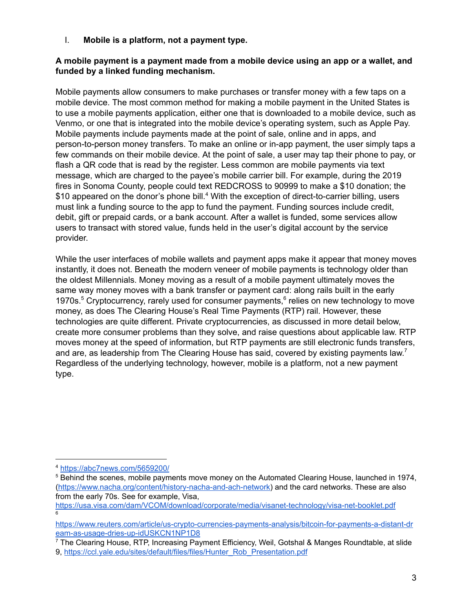I. **Mobile is a platform, not a payment type.**

### **A mobile payment is a payment made from a mobile device using an app or a wallet, and funded by a linked funding mechanism.**

Mobile payments allow consumers to make purchases or transfer money with a few taps on a mobile device. The most common method for making a mobile payment in the United States is to use a mobile payments application, either one that is downloaded to a mobile device, such as Venmo, or one that is integrated into the mobile device's operating system, such as Apple Pay. Mobile payments include payments made at the point of sale, online and in apps, and person-to-person money transfers. To make an online or in-app payment, the user simply taps a few commands on their mobile device. At the point of sale, a user may tap their phone to pay, or flash a QR code that is read by the register. Less common are mobile payments via text message, which are charged to the payee's mobile carrier bill. For example, during the 2019 fires in Sonoma County, people could text REDCROSS to 90999 to make a \$10 donation; the \$10 appeared on the donor's phone bill.<sup>4</sup> With the exception of direct-to-carrier billing, users must link a funding source to the app to fund the payment. Funding sources include credit, debit, gift or prepaid cards, or a bank account. After a wallet is funded, some services allow users to transact with stored value, funds held in the user's digital account by the service provider.

While the user interfaces of mobile wallets and payment apps make it appear that money moves instantly, it does not. Beneath the modern veneer of mobile payments is technology older than the oldest Millennials. Money moving as a result of a mobile payment ultimately moves the same way money moves with a bank transfer or payment card: along rails built in the early 1970s.<sup>5</sup> Cryptocurrency, rarely used for consumer payments, $<sup>6</sup>$  relies on new technology to move</sup> money, as does The Clearing House's Real Time Payments (RTP) rail. However, these technologies are quite different. Private cryptocurrencies, as discussed in more detail below, create more consumer problems than they solve, and raise questions about applicable law. RTP moves money at the speed of information, but RTP payments are still electronic funds transfers, and are, as leadership from The Clearing House has said, covered by existing payments law.<sup>7</sup> Regardless of the underlying technology, however, mobile is a platform, not a new payment type.

<sup>4</sup> <https://abc7news.com/5659200/>

<sup>5</sup> Behind the scenes, mobile payments move money on the Automated Clearing House, launched in 1974, [\(https://www.nacha.org/content/history-nacha-and-ach-network\)](https://www.nacha.org/content/history-nacha-and-ach-network) and the card networks. These are also from the early 70s. See for example, Visa,

<https://usa.visa.com/dam/VCOM/download/corporate/media/visanet-technology/visa-net-booklet.pdf> 6

[https://www.reuters.com/article/us-crypto-currencies-payments-analysis/bitcoin-for-payments-a-distant-dr](https://www.reuters.com/article/us-crypto-currencies-payments-analysis/bitcoin-for-payments-a-distant-dream-as-usage-dries-up-idUSKCN1NP1D8) [eam-as-usage-dries-up-idUSKCN1NP1D8](https://www.reuters.com/article/us-crypto-currencies-payments-analysis/bitcoin-for-payments-a-distant-dream-as-usage-dries-up-idUSKCN1NP1D8)

<sup>7</sup> The Clearing House, RTP, Increasing Payment Efficiency, Weil, Gotshal & Manges Roundtable, at slide 9, [https://ccl.yale.edu/sites/default/files/files/Hunter\\_Rob\\_Presentation.pdf](https://ccl.yale.edu/sites/default/files/files/Hunter_Rob_Presentation.pdf)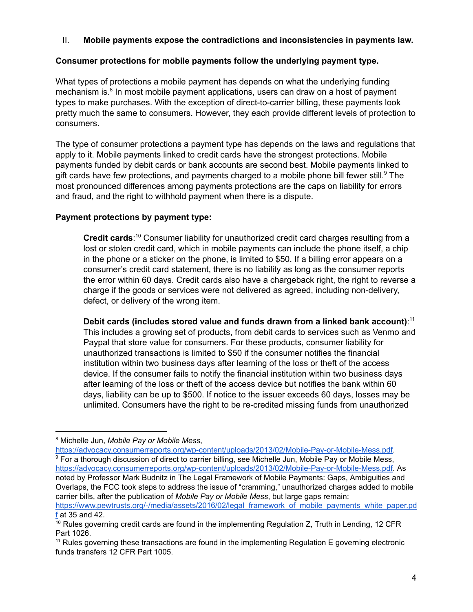### II. **Mobile payments expose the contradictions and inconsistencies in payments law.**

### **Consumer protections for mobile payments follow the underlying payment type.**

What types of protections a mobile payment has depends on what the underlying funding mechanism is.<sup>8</sup> In most mobile payment applications, users can draw on a host of payment types to make purchases. With the exception of direct-to-carrier billing, these payments look pretty much the same to consumers. However, they each provide different levels of protection to consumers.

The type of consumer protections a payment type has depends on the laws and regulations that apply to it. Mobile payments linked to credit cards have the strongest protections. Mobile payments funded by debit cards or bank accounts are second best. Mobile payments linked to gift cards have few protections, and payments charged to a mobile phone bill fewer still. $^9$  The most pronounced differences among payments protections are the caps on liability for errors and fraud, and the right to withhold payment when there is a dispute.

### **Payment protections by payment type:**

Credit cards:<sup>10</sup> Consumer liability for unauthorized credit card charges resulting from a lost or stolen credit card, which in mobile payments can include the phone itself, a chip in the phone or a sticker on the phone, is limited to \$50. If a billing error appears on a consumer's credit card statement, there is no liability as long as the consumer reports the error within 60 days. Credit cards also have a chargeback right, the right to reverse a charge if the goods or services were not delivered as agreed, including non-delivery, defect, or delivery of the wrong item.

**Debit cards (includes stored value and funds drawn from a linked bank account)**: 11 This includes a growing set of products, from debit cards to services such as Venmo and Paypal that store value for consumers. For these products, consumer liability for unauthorized transactions is limited to \$50 if the consumer notifies the financial institution within two business days after learning of the loss or theft of the access device. If the consumer fails to notify the financial institution within two business days after learning of the loss or theft of the access device but notifies the bank within 60 days, liability can be up to \$500. If notice to the issuer exceeds 60 days, losses may be unlimited. Consumers have the right to be re-credited missing funds from unauthorized

[https://www.pewtrusts.org/-/media/assets/2016/02/legal\\_framework\\_of\\_mobile\\_payments\\_white\\_paper.pd](https://www.pewtrusts.org/-/media/assets/2016/02/legal_framework_of_mobile_payments_white_paper.pdf) [f](https://www.pewtrusts.org/-/media/assets/2016/02/legal_framework_of_mobile_payments_white_paper.pdf) at 35 and 42.

<sup>8</sup> Michelle Jun, *Mobile Pay or Mobile Mess*,

<https://advocacy.consumerreports.org/wp-content/uploads/2013/02/Mobile-Pay-or-Mobile-Mess.pdf>. <sup>9</sup> For a thorough discussion of direct to carrier billing, see Michelle Jun, Mobile Pay or Mobile Mess, <https://advocacy.consumerreports.org/wp-content/uploads/2013/02/Mobile-Pay-or-Mobile-Mess.pdf>. As noted by Professor Mark Budnitz in The Legal Framework of Mobile Payments: Gaps, Ambiguities and Overlaps, the FCC took steps to address the issue of "cramming," unauthorized charges added to mobile carrier bills, after the publication of *Mobile Pay or Mobile Mess*, but large gaps remain:

 $10$  Rules governing credit cards are found in the implementing Regulation Z, Truth in Lending, 12 CFR Part 1026.

 $11$  Rules governing these transactions are found in the implementing Regulation E governing electronic funds transfers 12 CFR Part 1005.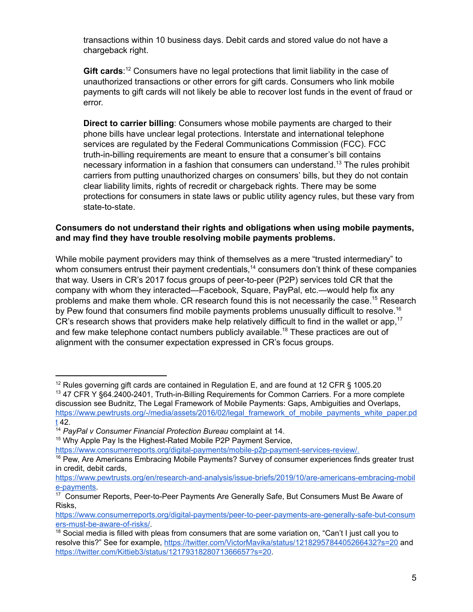transactions within 10 business days. Debit cards and stored value do not have a chargeback right.

Gift cards:<sup>12</sup> Consumers have no legal protections that limit liability in the case of unauthorized transactions or other errors for gift cards. Consumers who link mobile payments to gift cards will not likely be able to recover lost funds in the event of fraud or error.

**Direct to carrier billing**: Consumers whose mobile payments are charged to their phone bills have unclear legal protections. Interstate and international telephone services are regulated by the Federal Communications Commission (FCC). FCC truth-in-billing requirements are meant to ensure that a consumer's bill contains necessary information in a fashion that consumers can understand.<sup>13</sup> The rules prohibit carriers from putting unauthorized charges on consumers' bills, but they do not contain clear liability limits, rights of recredit or chargeback rights. There may be some protections for consumers in state laws or public utility agency rules, but these vary from state-to-state.

#### **Consumers do not understand their rights and obligations when using mobile payments, and may find they have trouble resolving mobile payments problems.**

While mobile payment providers may think of themselves as a mere "trusted intermediary" to whom consumers entrust their payment credentials,<sup>14</sup> consumers don't think of these companies that way. Users in CR's 2017 focus groups of peer-to-peer (P2P) services told CR that the company with whom they interacted—Facebook, Square, PayPal, etc.—would help fix any problems and make them whole. CR research found this is not necessarily the case.<sup>15</sup> Research by Pew found that consumers find mobile payments problems unusually difficult to resolve.<sup>16</sup> CR's research shows that providers make help relatively difficult to find in the wallet or app,<sup>17</sup> and few make telephone contact numbers publicly available. $^\mathrm{18}$  These practices are out of alignment with the consumer expectation expressed in CR's focus groups.

<sup>&</sup>lt;sup>12</sup> Rules governing gift cards are contained in Regulation E, and are found at 12 CFR § 1005.20

<sup>&</sup>lt;sup>13</sup> 47 CFR Y §64.2400-2401, Truth-in-Billing Requirements for Common Carriers. For a more complete discussion see Budnitz, The Legal Framework of Mobile Payments: Gaps, Ambiguities and Overlaps, [https://www.pewtrusts.org/-/media/assets/2016/02/legal\\_framework\\_of\\_mobile\\_payments\\_white\\_paper.pd](https://www.pewtrusts.org/-/media/assets/2016/02/legal_framework_of_mobile_payments_white_paper.pdt) [t](https://www.pewtrusts.org/-/media/assets/2016/02/legal_framework_of_mobile_payments_white_paper.pdt) 42.

<sup>14</sup> *PayPal v Consumer Financial Protection Bureau* complaint at 14.

<sup>&</sup>lt;sup>15</sup> Why Apple Pay Is the Highest-Rated Mobile P2P Payment Service,

[https://www.consumerreports.org/digital-payments/mobile-p2p-payment-services-review/.](https://www.consumerreports.org/digital-payments/mobile-p2p-payment-services-review/)

<sup>&</sup>lt;sup>16</sup> Pew, Are Americans Embracing Mobile Payments? Survey of consumer experiences finds greater trust in credit, debit cards,

[https://www.pewtrusts.org/en/research-and-analysis/issue-briefs/2019/10/are-americans-embracing-mobil](https://www.pewtrusts.org/en/research-and-analysis/issue-briefs/2019/10/are-americans-embracing-mobile-payments) [e-payments](https://www.pewtrusts.org/en/research-and-analysis/issue-briefs/2019/10/are-americans-embracing-mobile-payments).

<sup>&</sup>lt;sup>17</sup> Consumer Reports, Peer-to-Peer Payments Are Generally Safe, But Consumers Must Be Aware of Risks,

[https://www.consumerreports.org/digital-payments/peer-to-peer-payments-are-generally-safe-but-consum](https://www.consumerreports.org/digital-payments/peer-to-peer-payments-are-generally-safe-but-consumers-must-be-aware-of-risks/) [ers-must-be-aware-of-risks/](https://www.consumerreports.org/digital-payments/peer-to-peer-payments-are-generally-safe-but-consumers-must-be-aware-of-risks/).

 $18$  Social media is filled with pleas from consumers that are some variation on, "Can't I just call you to resolve this?" See for example, <https://twitter.com/VictorMavika/status/1218295784405266432?s=20> and <https://twitter.com/Kittieb3/status/1217931828071366657?s=20>.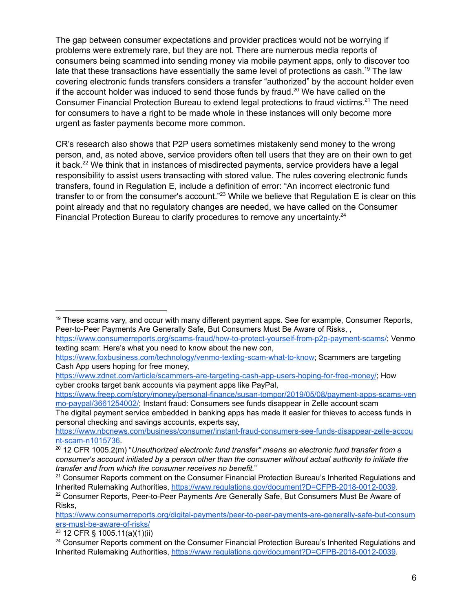The gap between consumer expectations and provider practices would not be worrying if problems were extremely rare, but they are not. There are numerous media reports of consumers being scammed into sending money via mobile payment apps, only to discover too late that these transactions have essentially the same level of protections as cash. $^\mathrm{19}$  The law covering electronic funds transfers considers a transfer "authorized" by the account holder even if the account holder was induced to send those funds by fraud. $^{20}$  We have called on the Consumer Financial Protection Bureau to extend legal protections to fraud victims.<sup>21</sup> The need for consumers to have a right to be made whole in these instances will only become more urgent as faster payments become more common.

CR's research also shows that P2P users sometimes mistakenly send money to the wrong person, and, as noted above, service providers often tell users that they are on their own to get it back. $^{22}$  We think that in instances of misdirected payments, service providers have a legal responsibility to assist users transacting with stored value. The rules covering electronic funds transfers, found in Regulation E, include a definition of error: "An incorrect electronic fund transfer to or from the consumer's account." $^{23}$  While we believe that Regulation E is clear on this point already and that no regulatory changes are needed, we have called on the Consumer Financial Protection Bureau to clarify procedures to remove any uncertainty.<sup>24</sup>

[https://www.freep.com/story/money/personal-finance/susan-tompor/2019/05/08/payment-apps-scams-ven](https://www.freep.com/story/money/personal-finance/susan-tompor/2019/05/08/payment-apps-scams-venmo-paypal/3661254002/) [mo-paypal/3661254002/;](https://www.freep.com/story/money/personal-finance/susan-tompor/2019/05/08/payment-apps-scams-venmo-paypal/3661254002/) Instant fraud: Consumers see funds disappear in Zelle account scam

The digital payment service embedded in banking apps has made it easier for thieves to access funds in personal checking and savings accounts, experts say,

[https://www.consumerreports.org/digital-payments/peer-to-peer-payments-are-generally-safe-but-consum](https://www.consumerreports.org/digital-payments/peer-to-peer-payments-are-generally-safe-but-consumers-must-be-aware-of-risks/) [ers-must-be-aware-of-risks/](https://www.consumerreports.org/digital-payments/peer-to-peer-payments-are-generally-safe-but-consumers-must-be-aware-of-risks/)

<sup>23</sup> 12 CFR § 1005.11(a)(1)(ii)

 $19$  These scams vary, and occur with many different payment apps. See for example, Consumer Reports, Peer-to-Peer Payments Are Generally Safe, But Consumers Must Be Aware of Risks, ,

[https://www.consumerreports.org/scams-fraud/how-to-protect-yourself-from-p2p-payment-scams/;](https://www.consumerreports.org/scams-fraud/how-to-protect-yourself-from-p2p-payment-scams/) Venmo texting scam: Here's what you need to know about the new con,

<https://www.foxbusiness.com/technology/venmo-texting-scam-what-to-know>; Scammers are targeting Cash App users hoping for free money,

[https://www.zdnet.com/article/scammers-are-targeting-cash-app-users-hoping-for-free-money/;](https://www.zdnet.com/article/scammers-are-targeting-cash-app-users-hoping-for-free-money/) How cyber crooks target bank accounts via payment apps like PayPal,

[https://www.nbcnews.com/business/consumer/instant-fraud-consumers-see-funds-disappear-zelle-accou](https://www.nbcnews.com/business/consumer/instant-fraud-consumers-see-funds-disappear-zelle-account-scam-n1015736) [nt-scam-n1015736](https://www.nbcnews.com/business/consumer/instant-fraud-consumers-see-funds-disappear-zelle-account-scam-n1015736).

<sup>20</sup> 12 CFR 1005.2(m) "*Unauthorized electronic fund transfer" means an electronic fund transfer from a consumer's account initiated by a person other than the consumer without actual authority to initiate the transfer and from which the consumer receives no benefit.*"

<sup>&</sup>lt;sup>21</sup> Consumer Reports comment on the Consumer Financial Protection Bureau's Inherited Regulations and Inherited Rulemaking Authorities, <https://www.regulations.gov/document?D=CFPB-2018-0012-0039>.  $22$  Consumer Reports, Peer-to-Peer Payments Are Generally Safe, But Consumers Must Be Aware of Risks,

<sup>&</sup>lt;sup>24</sup> Consumer Reports comment on the Consumer Financial Protection Bureau's Inherited Regulations and Inherited Rulemaking Authorities, <https://www.regulations.gov/document?D=CFPB-2018-0012-0039>.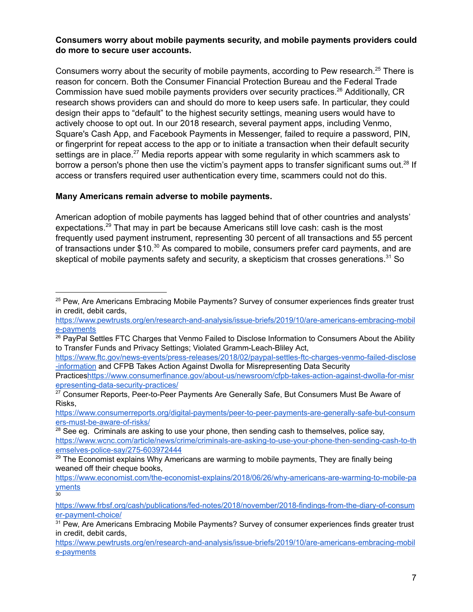### **Consumers worry about mobile payments security, and mobile payments providers could do more to secure user accounts.**

Consumers worry about the security of mobile payments, according to Pew research. $^{25}$  There is reason for concern. Both the Consumer Financial Protection Bureau and the Federal Trade Commission have sued mobile payments providers over security practices.<sup>26</sup> Additionally, CR research shows providers can and should do more to keep users safe. In particular, they could design their apps to "default" to the highest security settings, meaning users would have to actively choose to opt out. In our 2018 research, several payment apps, including Venmo, Square's Cash App, and Facebook Payments in Messenger, failed to require a password, PIN, or fingerprint for repeat access to the app or to initiate a transaction when their default security settings are in place. $^{27}$  Media reports appear with some regularity in which scammers ask to borrow a person's phone then use the victim's payment apps to transfer significant sums out. $^{28}$  If access or transfers required user authentication every time, scammers could not do this.

#### **Many Americans remain adverse to mobile payments.**

30

American adoption of mobile payments has lagged behind that of other countries and analysts' expectations. $^{29}$  That may in part be because Americans still love cash: cash is the most frequently used payment instrument, representing 30 percent of all transactions and 55 percent of transactions under \$10. $^{30}$  As compared to mobile, consumers prefer card payments, and are skeptical of mobile payments safety and security, a skepticism that crosses generations. $^{\rm 31}$  So

<sup>&</sup>lt;sup>25</sup> Pew, Are Americans Embracing Mobile Payments? Survey of consumer experiences finds greater trust in credit, debit cards,

[https://www.pewtrusts.org/en/research-and-analysis/issue-briefs/2019/10/are-americans-embracing-mobil](https://www.pewtrusts.org/en/research-and-analysis/issue-briefs/2019/10/are-americans-embracing-mobile-payments) [e-payments](https://www.pewtrusts.org/en/research-and-analysis/issue-briefs/2019/10/are-americans-embracing-mobile-payments)

<sup>&</sup>lt;sup>26</sup> PayPal Settles FTC Charges that Venmo Failed to Disclose Information to Consumers About the Ability to Transfer Funds and Privacy Settings; Violated Gramm-Leach-Bliley Act,

[https://www.ftc.gov/news-events/press-releases/2018/02/paypal-settles-ftc-charges-venmo-failed-disclose](https://www.ftc.gov/news-events/press-releases/2018/02/paypal-settles-ftc-charges-venmo-failed-disclose-information) [-information](https://www.ftc.gov/news-events/press-releases/2018/02/paypal-settles-ftc-charges-venmo-failed-disclose-information) and CFPB Takes Action Against Dwolla for Misrepresenting Data Security

Practice[shttps://www.consumerfinance.gov/about-us/newsroom/cfpb-takes-action-against-dwolla-for-misr](https://www.consumerfinance.gov/about-us/newsroom/cfpb-takes-action-against-dwolla-for-misrepresenting-data-security-practices/) [epresenting-data-security-practices/](https://www.consumerfinance.gov/about-us/newsroom/cfpb-takes-action-against-dwolla-for-misrepresenting-data-security-practices/)

<sup>&</sup>lt;sup>27</sup> Consumer Reports, Peer-to-Peer Payments Are Generally Safe, But Consumers Must Be Aware of Risks,

[https://www.consumerreports.org/digital-payments/peer-to-peer-payments-are-generally-safe-but-consum](https://www.consumerreports.org/digital-payments/peer-to-peer-payments-are-generally-safe-but-consumers-must-be-aware-of-risks/) [ers-must-be-aware-of-risks/](https://www.consumerreports.org/digital-payments/peer-to-peer-payments-are-generally-safe-but-consumers-must-be-aware-of-risks/)

 $28$  See eg. Criminals are asking to use your phone, then sending cash to themselves, police say, [https://www.wcnc.com/article/news/crime/criminals-are-asking-to-use-your-phone-then-sending-cash-to-th](https://www.wcnc.com/article/news/crime/criminals-are-asking-to-use-your-phone-then-sending-cash-to-themselves-police-say/275-603972444) [emselves-police-say/275-603972444](https://www.wcnc.com/article/news/crime/criminals-are-asking-to-use-your-phone-then-sending-cash-to-themselves-police-say/275-603972444)

 $29$  The Economist explains Why Americans are warming to mobile payments, They are finally being weaned off their cheque books,

[https://www.economist.com/the-economist-explains/2018/06/26/why-americans-are-warming-to-mobile-pa](https://www.economist.com/the-economist-explains/2018/06/26/why-americans-are-warming-to-mobile-payments) [yments](https://www.economist.com/the-economist-explains/2018/06/26/why-americans-are-warming-to-mobile-payments)

[https://www.frbsf.org/cash/publications/fed-notes/2018/november/2018-findings-from-the-diary-of-consum](https://www.frbsf.org/cash/publications/fed-notes/2018/november/2018-findings-from-the-diary-of-consumer-payment-choice/) [er-payment-choice/](https://www.frbsf.org/cash/publications/fed-notes/2018/november/2018-findings-from-the-diary-of-consumer-payment-choice/)

<sup>&</sup>lt;sup>31</sup> Pew, Are Americans Embracing Mobile Payments? Survey of consumer experiences finds greater trust in credit, debit cards,

[https://www.pewtrusts.org/en/research-and-analysis/issue-briefs/2019/10/are-americans-embracing-mobil](https://www.pewtrusts.org/en/research-and-analysis/issue-briefs/2019/10/are-americans-embracing-mobile-payments) [e-payments](https://www.pewtrusts.org/en/research-and-analysis/issue-briefs/2019/10/are-americans-embracing-mobile-payments)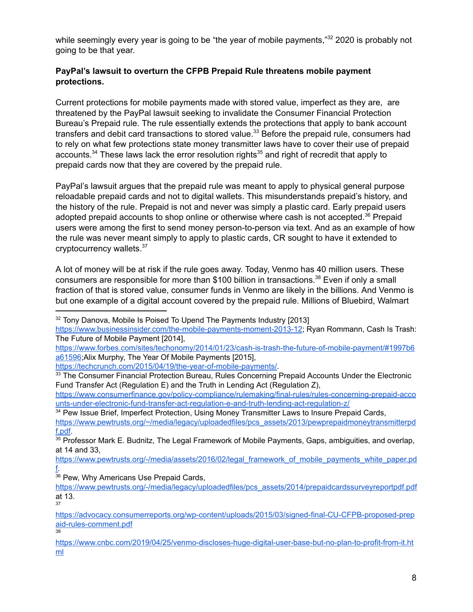while seemingly every year is going to be "the year of mobile payments," $^{32}$  2020 is probably not going to be that year.

# **PayPal's lawsuit to overturn the CFPB Prepaid Rule threatens mobile payment protections.**

Current protections for mobile payments made with stored value, imperfect as they are, are threatened by the PayPal lawsuit seeking to invalidate the Consumer Financial Protection Bureau's Prepaid rule. The rule essentially extends the protections that apply to bank account transfers and debit card transactions to stored value. $^{33}$  Before the prepaid rule, consumers had to rely on what few protections state money transmitter laws have to cover their use of prepaid accounts. $^{34}$  These laws lack the error resolution rights $^{35}$  and right of recredit that apply to prepaid cards now that they are covered by the prepaid rule.

PayPal's lawsuit argues that the prepaid rule was meant to apply to physical general purpose reloadable prepaid cards and not to digital wallets. This misunderstands prepaid's history, and the history of the rule. Prepaid is not and never was simply a plastic card. Early prepaid users adopted prepaid accounts to shop online or otherwise where cash is not accepted. $^{36}$  Prepaid users were among the first to send money person-to-person via text. And as an example of how the rule was never meant simply to apply to plastic cards, CR sought to have it extended to cryptocurrency wallets.<sup>37</sup>

A lot of money will be at risk if the rule goes away. Today, Venmo has 40 million users. These consumers are responsible for more than \$100 billion in transactions.<sup>38</sup> Even if only a small fraction of that is stored value, consumer funds in Venmo are likely in the billions. And Venmo is but one example of a digital account covered by the prepaid rule. Millions of Bluebird, Walmart

[https://www.forbes.com/sites/techonomy/2014/01/23/cash-is-trash-the-future-of-mobile-payment/#1997b6](https://www.forbes.com/sites/techonomy/2014/01/23/cash-is-trash-the-future-of-mobile-payment/#1997b6a61596) [a61596](https://www.forbes.com/sites/techonomy/2014/01/23/cash-is-trash-the-future-of-mobile-payment/#1997b6a61596);Alix Murphy, The Year Of Mobile Payments [2015],

<https://techcrunch.com/2015/04/19/the-year-of-mobile-payments/>.

<sup>34</sup> Pew Issue Brief, Imperfect Protection, Using Money Transmitter Laws to Insure Prepaid Cards,

37

38

<sup>&</sup>lt;sup>32</sup> Tony Danova, Mobile Is Poised To Upend The Payments Industry [2013]

[https://www.businessinsider.com/the-mobile-payments-moment-2013-12;](https://www.businessinsider.com/the-mobile-payments-moment-2013-12) Ryan Rommann, Cash Is Trash: The Future of Mobile Payment [2014],

<sup>&</sup>lt;sup>33</sup> The Consumer Financial Protection Bureau, Rules Concerning Prepaid Accounts Under the Electronic Fund Transfer Act (Regulation E) and the Truth in Lending Act (Regulation Z),

[https://www.consumerfinance.gov/policy-compliance/rulemaking/final-rules/rules-concerning-prepaid-acco](https://www.consumerfinance.gov/policy-compliance/rulemaking/final-rules/rules-concerning-prepaid-accounts-under-electronic-fund-transfer-act-regulation-e-and-truth-lending-act-regulation-z/) [unts-under-electronic-fund-transfer-act-regulation-e-and-truth-lending-act-regulation-z/](https://www.consumerfinance.gov/policy-compliance/rulemaking/final-rules/rules-concerning-prepaid-accounts-under-electronic-fund-transfer-act-regulation-e-and-truth-lending-act-regulation-z/)

[https://www.pewtrusts.org/~/media/legacy/uploadedfiles/pcs\\_assets/2013/pewprepaidmoneytransmitterpd](https://www.pewtrusts.org/~/media/legacy/uploadedfiles/pcs_assets/2013/pewprepaidmoneytransmitterpdf.pdf) [f.pdf.](https://www.pewtrusts.org/~/media/legacy/uploadedfiles/pcs_assets/2013/pewprepaidmoneytransmitterpdf.pdf)

<sup>&</sup>lt;sup>35</sup> Professor Mark E. Budnitz, The Legal Framework of Mobile Payments, Gaps, ambiguities, and overlap, at 14 and 33,

[https://www.pewtrusts.org/-/media/assets/2016/02/legal\\_framework\\_of\\_mobile\\_payments\\_white\\_paper.pd](https://www.pewtrusts.org/-/media/assets/2016/02/legal_framework_of_mobile_payments_white_paper.pdf) [f.](https://www.pewtrusts.org/-/media/assets/2016/02/legal_framework_of_mobile_payments_white_paper.pdf)

<sup>36</sup> Pew, Why Americans Use Prepaid Cards,

[https://www.pewtrusts.org/-/media/legacy/uploadedfiles/pcs\\_assets/2014/prepaidcardssurveyreportpdf.pdf](https://www.pewtrusts.org/-/media/legacy/uploadedfiles/pcs_assets/2014/prepaidcardssurveyreportpdf.pdf) at 13.

[https://advocacy.consumerreports.org/wp-content/uploads/2015/03/signed-final-CU-CFPB-proposed-prep](https://advocacy.consumerreports.org/wp-content/uploads/2015/03/signed-final-CU-CFPB-proposed-prepaid-rules-comment.pdf) [aid-rules-comment.pdf](https://advocacy.consumerreports.org/wp-content/uploads/2015/03/signed-final-CU-CFPB-proposed-prepaid-rules-comment.pdf)

[https://www.cnbc.com/2019/04/25/venmo-discloses-huge-digital-user-base-but-no-plan-to-profit-from-it.ht](https://www.cnbc.com/2019/04/25/venmo-discloses-huge-digital-user-base-but-no-plan-to-profit-from-it.html) [ml](https://www.cnbc.com/2019/04/25/venmo-discloses-huge-digital-user-base-but-no-plan-to-profit-from-it.html)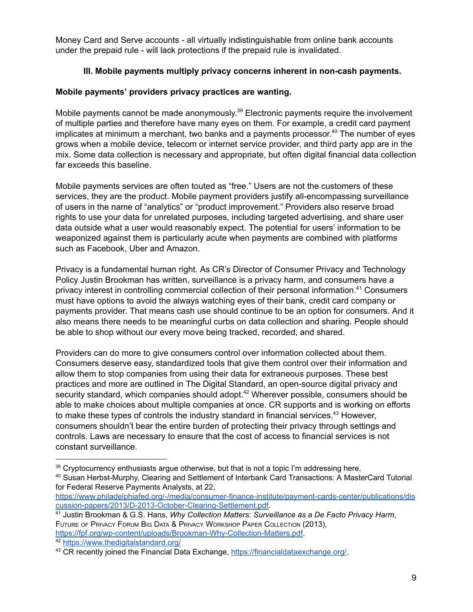Money Card and Serve accounts - all virtually indistinguishable from online bank accounts under the prepaid rule - will lack protections if the prepaid rule is invalidated.

# **III. Mobile payments multiply privacy concerns inherent in non-cash payments.**

### **Mobile payments' providers privacy practices are wanting.**

Mobile payments cannot be made anonymously.<sup>39</sup> Electronic payments require the involvement of multiple parties and therefore have many eyes on them. For example, a credit card payment implicates at minimum a merchant, two banks and a payments processor. $^{40}$  The number of eyes grows when a mobile device, telecom or internet service provider, and third party app are in the mix. Some data collection is necessary and appropriate, but often digital financial data collection far exceeds this baseline.

Mobile payments services are often touted as "free." Users are not the customers of these services, they are the product. Mobile payment providers justify all-encompassing surveillance of users in the name of "analytics" or "product improvement." Providers also reserve broad rights to use your data for unrelated purposes, including targeted advertising, and share user data outside what a user would reasonably expect. The potential for users' information to be weaponized against them is particularly acute when payments are combined with platforms such as Facebook, Uber and Amazon.

Privacy is a fundamental human right. As CR's Director of Consumer Privacy and Technology Policy Justin Brookman has written, surveillance is a privacy harm, and consumers have a privacy interest in controlling commercial collection of their personal information.<sup>41</sup> Consumers must have options to avoid the always watching eyes of their bank, credit card company or payments provider. That means cash use should continue to be an option for consumers. And it also means there needs to be meaningful curbs on data collection and sharing. People should be able to shop without our every move being tracked, recorded, and shared.

Providers can do more to give consumers control over information collected about them. Consumers deserve easy, standardized tools that give them control over their information and allow them to stop companies from using their data for extraneous purposes. These best practices and more are outlined in The Digital Standard, an open-source digital privacy and security standard, which companies should adopt. $^{42}$  Wherever possible, consumers should be able to make choices about multiple companies at once. CR supports and is working on efforts to make these types of controls the industry standard in financial services. $^{43}$  However, consumers shouldn't bear the entire burden of protecting their privacy through settings and controls. Laws are necessary to ensure that the cost of access to financial services is not constant surveillance.

<sup>42</sup> <https://www.thedigitalstandard.org/>

 $39$  Cryptocurrency enthusiasts argue otherwise, but that is not a topic I'm addressing here.

<sup>40</sup> Susan Herbst-Murphy, Clearing and Settlement of Interbank Card Transactions: A MasterCard Tutorial for Federal Reserve Payments Analysts, at 22,

[https://www.philadelphiafed.org/-/media/consumer-finance-institute/payment-cards-center/publications/dis](https://www.philadelphiafed.org/-/media/consumer-finance-institute/payment-cards-center/publications/discussion-papers/2013/D-2013-October-Clearing-Settlement.pdf) [cussion-papers/2013/D-2013-October-Clearing-Settlement.pdf.](https://www.philadelphiafed.org/-/media/consumer-finance-institute/payment-cards-center/publications/discussion-papers/2013/D-2013-October-Clearing-Settlement.pdf)

<sup>41</sup> Justin Brookman & G.S. Hans, *Why Collection Matters: Surveillance as a De Facto Privacy Harm*, FUTURE OF PRIVACY FORUM BIG DATA & PRIVACY WORKSHOP PAPER COLLECTION (2013), <https://fpf.org/wp-content/uploads/Brookman-Why-Collection-Matters.pdf>.

<sup>43</sup> CR recently joined the Financial Data Exchange, <https://financialdataexchange.org/>.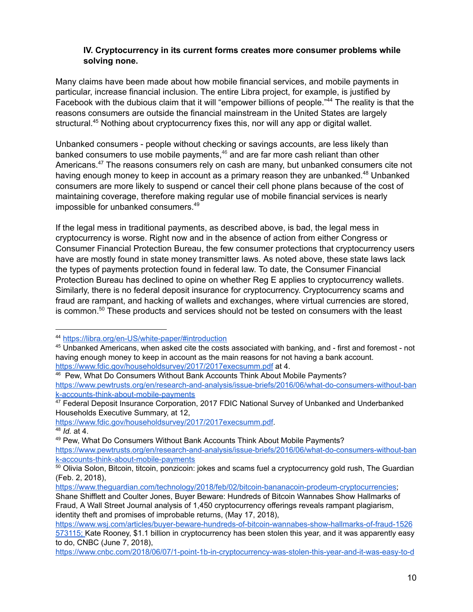#### **IV. Cryptocurrency in its current forms creates more consumer problems while solving none.**

Many claims have been made about how mobile financial services, and mobile payments in particular, increase financial inclusion. The entire Libra project, for example, is justified by Facebook with the dubious claim that it will "empower billions of people."<sup>44</sup> The reality is that the reasons consumers are outside the financial mainstream in the United States are largely structural.<sup>45</sup> Nothing about cryptocurrency fixes this, nor will any app or digital wallet.

Unbanked consumers - people without checking or savings accounts, are less likely than banked consumers to use mobile payments, $^{46}$  and are far more cash reliant than other Americans. $^{47}$  The reasons consumers rely on cash are many, but unbanked consumers cite not having enough money to keep in account as a primary reason they are unbanked.<sup>48</sup> Unbanked consumers are more likely to suspend or cancel their cell phone plans because of the cost of maintaining coverage, therefore making regular use of mobile financial services is nearly impossible for unbanked consumers. 49

If the legal mess in traditional payments, as described above, is bad, the legal mess in cryptocurrency is worse. Right now and in the absence of action from either Congress or Consumer Financial Protection Bureau, the few consumer protections that cryptocurrency users have are mostly found in state money transmitter laws. As noted above, these state laws lack the types of payments protection found in federal law. To date, the Consumer Financial Protection Bureau has declined to opine on whether Reg E applies to cryptocurrency wallets. Similarly, there is no federal deposit insurance for cryptocurrency. Cryptocurrency scams and fraud are rampant, and hacking of wallets and exchanges, where virtual currencies are stored, is common. $^{50}$  These products and services should not be tested on consumers with the least

<sup>44</sup> <https://libra.org/en-US/white-paper/#introduction>

<sup>45</sup> Unbanked Americans, when asked cite the costs associated with banking, and - first and foremost - not having enough money to keep in account as the main reasons for not having a bank account. <https://www.fdic.gov/householdsurvey/2017/2017execsumm.pdf> at 4.

<sup>46</sup> Pew, What Do Consumers Without Bank Accounts Think About Mobile Payments? [https://www.pewtrusts.org/en/research-and-analysis/issue-briefs/2016/06/what-do-consumers-without-ban](https://www.pewtrusts.org/en/research-and-analysis/issue-briefs/2016/06/what-do-consumers-without-bank-accounts-think-about-mobile-payments) [k-accounts-think-about-mobile-payments](https://www.pewtrusts.org/en/research-and-analysis/issue-briefs/2016/06/what-do-consumers-without-bank-accounts-think-about-mobile-payments)

<sup>47</sup> Federal Deposit Insurance Corporation, 2017 FDIC National Survey of Unbanked and Underbanked Households Executive Summary, at 12,

[https://www.fdic.gov/householdsurvey/2017/2017execsumm.pdf.](https://www.fdic.gov/householdsurvey/2017/2017execsumm.pdf) <sup>48</sup> *Id.* at 4.

<sup>49</sup> Pew, What Do Consumers Without Bank Accounts Think About Mobile Payments? [https://www.pewtrusts.org/en/research-and-analysis/issue-briefs/2016/06/what-do-consumers-without-ban](https://www.pewtrusts.org/en/research-and-analysis/issue-briefs/2016/06/what-do-consumers-without-bank-accounts-think-about-mobile-payments) [k-accounts-think-about-mobile-payments](https://www.pewtrusts.org/en/research-and-analysis/issue-briefs/2016/06/what-do-consumers-without-bank-accounts-think-about-mobile-payments)

<sup>&</sup>lt;sup>50</sup> Olivia Solon, Bitcoin, titcoin, ponzicoin: jokes and scams fuel a cryptocurrency gold rush, The Guardian (Feb. 2, 2018),

<https://www.theguardian.com/technology/2018/feb/02/bitcoin-bananacoin-prodeum-cryptocurrencies>;

Shane Shifflett and Coulter Jones, Buyer Beware: Hundreds of Bitcoin Wannabes Show Hallmarks of Fraud, A Wall Street Journal analysis of 1,450 cryptocurrency offerings reveals rampant plagiarism, identity theft and promises of improbable returns, (May 17, 2018),

<https://www.wsj.com/articles/buyer-beware-hundreds-of-bitcoin-wannabes-show-hallmarks-of-fraud-1526> [573115;](https://www.wsj.com/articles/buyer-beware-hundreds-of-bitcoin-wannabes-show-hallmarks-of-fraud-1526) Kate Rooney, \$1.1 billion in cryptocurrency has been stolen this year, and it was apparently easy to do, CNBC (June 7, 2018),

<https://www.cnbc.com/2018/06/07/1-point-1b-in-cryptocurrency-was-stolen-this-year-and-it-was-easy-to-d>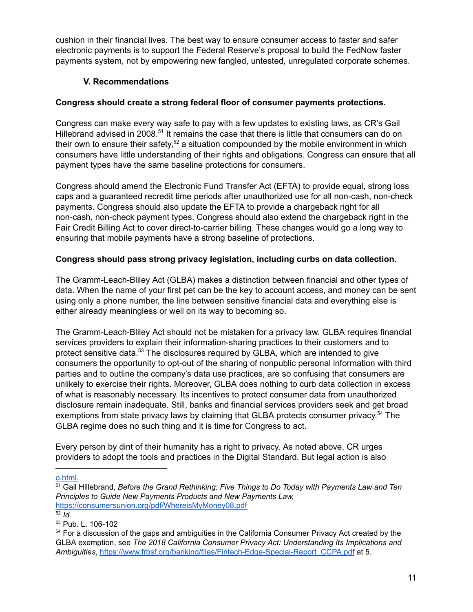cushion in their financial lives. The best way to ensure consumer access to faster and safer electronic payments is to support the Federal Reserve's proposal to build the FedNow faster payments system, not by empowering new fangled, untested, unregulated corporate schemes.

# **V. Recommendations**

# **Congress should create a strong federal floor of consumer payments protections.**

Congress can make every way safe to pay with a few updates to existing laws, as CR's Gail Hillebrand advised in 2008. $51$  It remains the case that there is little that consumers can do on their own to ensure their safety,<sup>52</sup> a situation compounded by the mobile environment in which consumers have little understanding of their rights and obligations. Congress can ensure that all payment types have the same baseline protections for consumers.

Congress should amend the Electronic Fund Transfer Act (EFTA) to provide equal, strong loss caps and a guaranteed recredit time periods after unauthorized use for all non-cash, non-check payments. Congress should also update the EFTA to provide a chargeback right for all non-cash, non-check payment types. Congress should also extend the chargeback right in the Fair Credit Billing Act to cover direct-to-carrier billing. These changes would go a long way to ensuring that mobile payments have a strong baseline of protections.

# **Congress should pass strong privacy legislation, including curbs on data collection.**

The Gramm-Leach-Bliley Act (GLBA) makes a distinction between financial and other types of data. When the name of your first pet can be the key to account access, and money can be sent using only a phone number, the line between sensitive financial data and everything else is either already meaningless or well on its way to becoming so.

The Gramm-Leach-Bliley Act should not be mistaken for a privacy law. GLBA requires financial services providers to explain their information-sharing practices to their customers and to protect sensitive data. $^{53}$  The disclosures required by GLBA, which are intended to give consumers the opportunity to opt-out of the sharing of nonpublic personal information with third parties and to outline the company's data use practices, are so confusing that consumers are unlikely to exercise their rights. Moreover, GLBA does nothing to curb data collection in excess of what is reasonably necessary. Its incentives to protect consumer data from unauthorized disclosure remain inadequate. Still, banks and financial services providers seek and get broad exemptions from state privacy laws by claiming that GLBA protects consumer privacy.<sup>54</sup> The GLBA regime does no such thing and it is time for Congress to act.

Every person by dint of their humanity has a right to privacy. As noted above, CR urges providers to adopt the tools and practices in the Digital Standard. But legal action is also

[o.html.](https://www.cnbc.com/2018/06/07/1-point-1b-in-cryptocurrency-was-stolen-this-year-and-it-was-easy-to-d)

<sup>51</sup> Gail Hillebrand, *Before the Grand Rethinking: Five Things to Do Today with Payments Law and Ten Principles to Guide New Payments Products and New Payments Law,* <https://consumersunion.org/pdf/WhereisMyMoney08.pdf>

 $52$  *Id.* 

<sup>53</sup> Pub. L. 106-102

<sup>&</sup>lt;sup>54</sup> For a discussion of the gaps and ambiguities in the California Consumer Privacy Act created by the GLBA exemption, see *The 2018 California Consumer Privacy Act: Understanding Its Implications and Ambiguities*, [https://www.frbsf.org/banking/files/Fintech-Edge-Special-Report\\_CCPA.pdf](https://www.frbsf.org/banking/files/Fintech-Edge-Special-Report_CCPA.pdf) at 5.